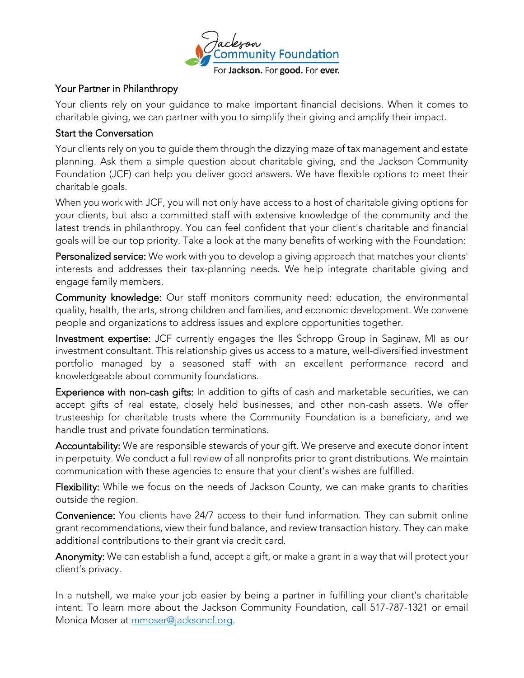

**Your Partner in Philanthropy**<br>Your clients rely on your guidance to make important financial decisions. When it comes to Your change rely on your guidance to make important make in decisions. Then it comes to charitable giving, we can partner with your giving and amplify their problems in partner.

Your clients rely on you to guide them through the dizzying maze of tax management and estate planning. Ask them a simple question about charitable giving, and the Jackson Community planning. Ask them a simple question about charitable giving, and the Jackson Community Foundation (JCF) can help you deliver good answers. We have flexible options to meet their charitable goals.<br>When you work with JCF, you will not only have access to a host of charitable giving options for

your clients, but also a committed staff with extensive knowledge of the community and the latest trends in philanthropy. You can feel confident that your client's charitable and financial<br>anals will be our top priority. Take a look at the many bonefits of working with the Equadation:

goals will be our top priority. Take a look at the many benefits of working with the Foundation: Personalized service: We work with you to develop a giving approach that matches your clients' interests and addresses their tax-planning needs. We help integrate charitable giving and

Community knowledge: Our staff monitors community need: education, the environmental quality, health, the arts, strong children and families, and economic development. We convene people and organizations to address issues and explore opportunities together.

Investment expertise: JCF currently engages the Iles Schropp Group in Saginaw, MI as our investment consultant. This relationship gives us access to a mature, well-diversified investment portfolio managed by a seasoned staff with an excellent performance record and knowledgeable about community foundations.

Experience with non-cash gifts: In addition to gifts of cash and marketable securities, we can accept gifts of real estate, closely held businesses, and other non-cash assets. We offer trusteeship for charitable trusts where the Community Foundation is a beneficiary, and we handle trust and private foundation terminations.

Accountability: We are responsible stewards of your gift. We preserve and execute donor intent in perpetuity. We conduct a full review of all nonprofits prior to grant distributions. We maintain communication with these agencies to ensure that your client's wishes are fulfilled.

communication with these agencies to ensure that your client's wishes are fulfilled. Flexibility: While we focus on the needs of Jackson County, we can make grants to charities outside the region.<br>Convenience: You clients have 24/7 access to their fund information. They can submit online

grant recommendations, view their fund balance, and review transaction history. They can make additional contributions to their grant via credit card.

additional contributions to their grant via credit card. Anonymity: We can establish a fund, accepted graph, accepted grant in a way that will protect your client's privacy.

In a nutshell, we make your job easier by being a partner in fulfilling your client's charitable intent. To learn the Jackson Community Foundation, call 517-787-1321 or email 517-787-1321 or email 517-787-13 monica moser at <u>minister a jacksonches</u>.